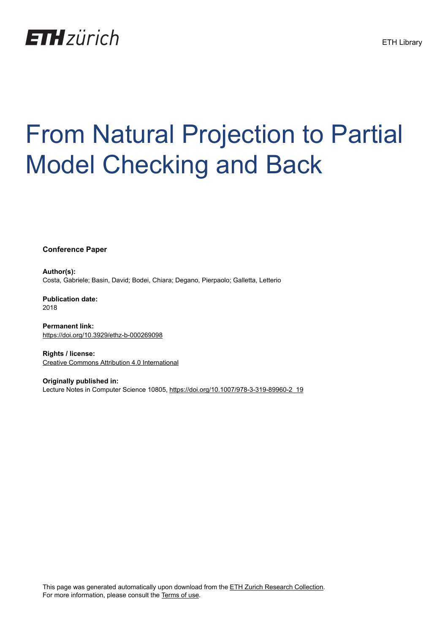

# From Natural Projection to Partial Model Checking and Back

**Conference Paper**

**Author(s):** Costa, Gabriele; Basin, David; Bodei, Chiara; Degano, Pierpaolo; Galletta, Letterio

**Publication date:** 2018

**Permanent link:** <https://doi.org/10.3929/ethz-b-000269098>

**Rights / license:** [Creative Commons Attribution 4.0 International](http://creativecommons.org/licenses/by/4.0/)

**Originally published in:** Lecture Notes in Computer Science 10805, [https://doi.org/10.1007/978-3-319-89960-2\\_19](https://doi.org/10.1007/978-3-319-89960-2_19)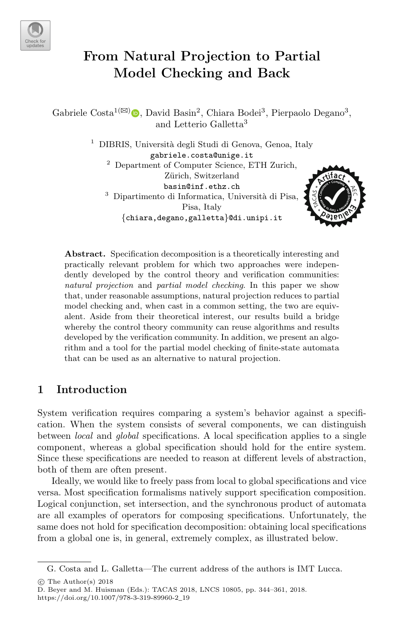

## **From Natural Projection to Partial Model Checking and Back**

Gabriele Costa<sup>1( $\boxtimes$ )</sup>  $\Box$ [,](http://orcid.org/0000-0002-9385-3998) David Basin<sup>2</sup>, Chiara Bodei<sup>3</sup>, Pierpaolo Degano<sup>3</sup>, and Letterio Galletta<sup>3</sup>

> <sup>1</sup> DIBRIS, Università degli Studi di Genova, Genoa, Italy gabriele.costa@unige.it <sup>2</sup> Department of Computer Science, ETH Zurich, Zürich, Switzerland basin@inf.ethz.ch  $^3$  Dipartimento di Informatica, Università di Pisa, Pisa, Italy {chiara,degano,galletta}@di.unipi.it



**Abstract.** Specification decomposition is a theoretically interesting and practically relevant problem for which two approaches were independently developed by the control theory and verification communities: natural projection and partial model checking. In this paper we show that, under reasonable assumptions, natural projection reduces to partial model checking and, when cast in a common setting, the two are equivalent. Aside from their theoretical interest, our results build a bridge whereby the control theory community can reuse algorithms and results developed by the verification community. In addition, we present an algorithm and a tool for the partial model checking of finite-state automata that can be used as an alternative to natural projection.

## **1 Introduction**

System verification requires comparing a system's behavior against a specification. When the system consists of several components, we can distinguish between *local* and *global* specifications. A local specification applies to a single component, whereas a global specification should hold for the entire system. Since these specifications are needed to reason at different levels of abstraction, both of them are often present.

Ideally, we would like to freely pass from local to global specifications and vice versa. Most specification formalisms natively support specification composition. Logical conjunction, set intersection, and the synchronous product of automata are all examples of operators for composing specifications. Unfortunately, the same does not hold for specification decomposition: obtaining local specifications from a global one is, in general, extremely complex, as illustrated below.

<span id="page-1-0"></span>G. Costa and L. Galletta—The current address of the authors is IMT Lucca.

 $\odot$  The Author(s) 2018

D. Beyer and M. Huisman (Eds.): TACAS 2018, LNCS 10805, pp. 344–361, 2018. https://doi.org/10.1007/978-3-319-89960-2\_19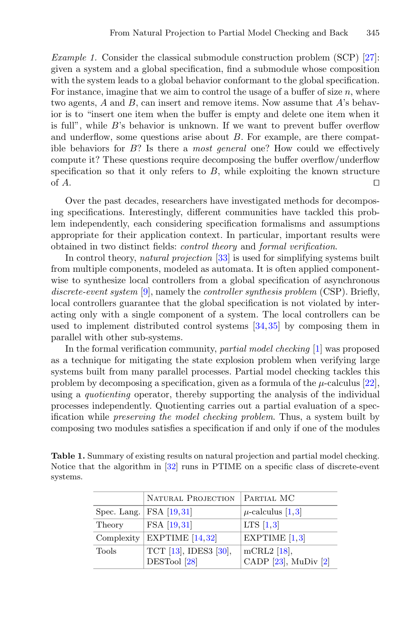*Example 1.* Consider the classical submodule construction problem (SCP) [\[27\]](#page-17-0): given a system and a global specification, find a submodule whose composition with the system leads to a global behavior conformant to the global specification. For instance, imagine that we aim to control the usage of a buffer of size  $n$ , where two agents,  $A$  and  $B$ , can insert and remove items. Now assume that  $A$ 's behavior is to "insert one item when the buffer is empty and delete one item when it is full", while B's behavior is unknown. If we want to prevent buffer overflow and underflow, some questions arise about B. For example, are there compatible behaviors for B? Is there a *most general* one? How could we effectively compute it? These questions require decomposing the buffer overflow/underflow specification so that it only refers to  $B$ , while exploiting the known structure of  $A$ .  $\Box$ 

Over the past decades, researchers have investigated methods for decomposing specifications. Interestingly, different communities have tackled this problem independently, each considering specification formalisms and assumptions appropriate for their application context. In particular, important results were obtained in two distinct fields: *control theory* and *formal verification*.

In control theory, *natural projection* [\[33](#page-18-0)] is used for simplifying systems built from multiple components, modeled as automata. It is often applied componentwise to synthesize local controllers from a global specification of asynchronous *discrete-event system* [\[9\]](#page-16-0), namely the *controller synthesis problem* (CSP). Briefly, local controllers guarantee that the global specification is not violated by interacting only with a single component of a system. The local controllers can be used to implement distributed control systems [\[34](#page-18-1)[,35](#page-18-2)] by composing them in parallel with other sub-systems.

In the formal verification community, *partial model checking* [\[1\]](#page-16-1) was proposed as a technique for mitigating the state explosion problem when verifying large systems built from many parallel processes. Partial model checking tackles this problem by decomposing a specification, given as a formula of the  $\mu$ -calculus [\[22\]](#page-17-1), using a *quotienting* operator, thereby supporting the analysis of the individual processes independently. Quotienting carries out a partial evaluation of a specification while *preserving the model checking problem*. Thus, a system built by composing two modules satisfies a specification if and only if one of the modules

| <b>Table 1.</b> Summary of existing results on natural projection and partial model checking. |
|-----------------------------------------------------------------------------------------------|
| Notice that the algorithm in [32] runs in PTIME on a specific class of discrete-event         |
| systems.                                                                                      |

<span id="page-2-0"></span>

|            | NATURAL PROJECTION                    | <b>PARTIAL MC</b>                           |
|------------|---------------------------------------|---------------------------------------------|
|            | Spec. Lang. $ $ FSA $[19,31]$         | $\mu$ -calculus [1,3]                       |
| Theory     | FSA [19,31]                           | LTS $[1,3]$                                 |
| Complexity | EXPTIME $[14,32]$                     | EXPTIME $[1,3]$                             |
| Tools      | TCT [13], IDES3 [30],<br>DESTool [28] | mCRL2 $[18]$ ,<br>CADP $[23]$ , MuDiv $[2]$ |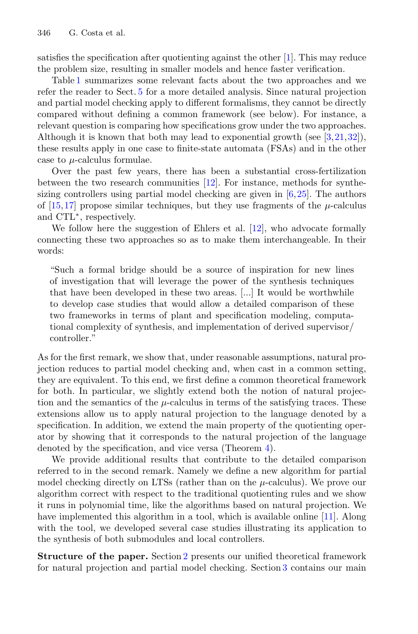satisfies the specification after quotienting against the other [\[1\]](#page-16-1). This may reduce the problem size, resulting in smaller models and hence faster verification.

Table [1](#page-2-0) summarizes some relevant facts about the two approaches and we refer the reader to Sect. [5](#page-15-0) for a more detailed analysis. Since natural projection and partial model checking apply to different formalisms, they cannot be directly compared without defining a common framework (see below). For instance, a relevant question is comparing how specifications grow under the two approaches. Although it is known that both may lead to exponential growth (see  $[3,21,32]$  $[3,21,32]$  $[3,21,32]$  $[3,21,32]$ ), these results apply in one case to finite-state automata (FSAs) and in the other case to  $\mu$ -calculus formulae.

Over the past few years, there has been a substantial cross-fertilization between the two research communities  $[12]$  $[12]$ . For instance, methods for synthesizing controllers using partial model checking are given in [\[6,](#page-16-4)[25](#page-17-10)]. The authors of  $[15,17]$  $[15,17]$  propose similar techniques, but they use fragments of the  $\mu$ -calculus and CTL∗, respectively.

We follow here the suggestion of Ehlers et al. [\[12](#page-17-9)], who advocate formally connecting these two approaches so as to make them interchangeable. In their words:

"Such a formal bridge should be a source of inspiration for new lines of investigation that will leverage the power of the synthesis techniques that have been developed in these two areas. [...] It would be worthwhile to develop case studies that would allow a detailed comparison of these two frameworks in terms of plant and specification modeling, computational complexity of synthesis, and implementation of derived supervisor/ controller."

As for the first remark, we show that, under reasonable assumptions, natural projection reduces to partial model checking and, when cast in a common setting, they are equivalent. To this end, we first define a common theoretical framework for both. In particular, we slightly extend both the notion of natural projection and the semantics of the  $\mu$ -calculus in terms of the satisfying traces. These extensions allow us to apply natural projection to the language denoted by a specification. In addition, we extend the main property of the quotienting operator by showing that it corresponds to the natural projection of the language denoted by the specification, and vice versa (Theorem [4\)](#page-11-0).

We provide additional results that contribute to the detailed comparison referred to in the second remark. Namely we define a new algorithm for partial model checking directly on LTSs (rather than on the  $\mu$ -calculus). We prove our algorithm correct with respect to the traditional quotienting rules and we show it runs in polynomial time, like the algorithms based on natural projection. We have implemented this algorithm in a tool, which is available online [\[11\]](#page-17-13). Along with the tool, we developed several case studies illustrating its application to the synthesis of both submodules and local controllers.

**Structure of the paper.** Section [2](#page-4-0) presents our unified theoretical framework for natural projection and partial model checking. Section [3](#page-10-0) contains our main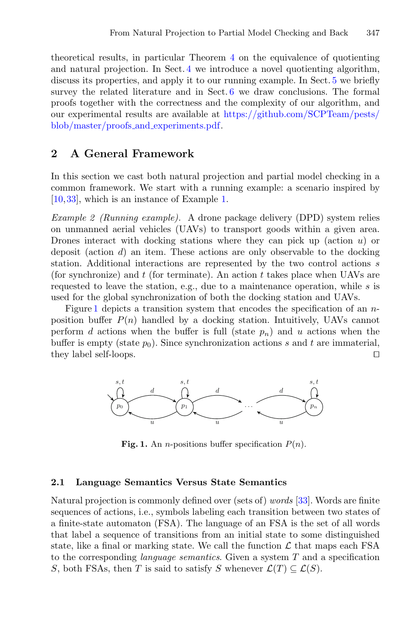theoretical results, in particular Theorem [4](#page-11-0) on the equivalence of quotienting and natural projection. In Sect. [4](#page-11-1) we introduce a novel quotienting algorithm, discuss its properties, and apply it to our running example. In Sect. [5](#page-15-0) we briefly survey the related literature and in Sect. [6](#page-15-1) we draw conclusions. The formal proofs together with the correctness and the complexity of our algorithm, and our experimental results are available at [https://github.com/SCPTeam/pests/](https://github.com/SCPTeam/pests/blob/master/proofs_and_experiments.pdf) [blob/master/proofs](https://github.com/SCPTeam/pests/blob/master/proofs_and_experiments.pdf) and experiments.pdf.

### <span id="page-4-0"></span>**2 A General Framework**

In this section we cast both natural projection and partial model checking in a common framework. We start with a running example: a scenario inspired by [\[10](#page-16-5)[,33](#page-18-0)], which is an instance of Example [1.](#page-1-0)

*Example 2 (Running example).* A drone package delivery (DPD) system relies on unmanned aerial vehicles (UAVs) to transport goods within a given area. Drones interact with docking stations where they can pick up (action  $u$ ) or deposit (action  $d$ ) an item. These actions are only observable to the docking station. Additional interactions are represented by the two control actions s (for synchronize) and  $t$  (for terminate). An action  $t$  takes place when UAVs are requested to leave the station, e.g., due to a maintenance operation, while  $s$  is used for the global synchronization of both the docking station and UAVs.

Figure [1](#page-4-1) depicts a transition system that encodes the specification of an nposition buffer  $P(n)$  handled by a docking station. Intuitively, UAVs cannot perform d actions when the buffer is full (state  $p_n$ ) and u actions when the buffer is empty (state  $p_0$ ). Since synchronization actions s and t are immaterial, they label self-loops. - $\Box$ 



<span id="page-4-1"></span>**Fig. 1.** An *n*-positions buffer specification  $P(n)$ .

#### **2.1 Language Semantics Versus State Semantics**

Natural projection is commonly defined over (sets of) *words* [\[33\]](#page-18-0). Words are finite sequences of actions, i.e., symbols labeling each transition between two states of a finite-state automaton (FSA). The language of an FSA is the set of all words that label a sequence of transitions from an initial state to some distinguished state, like a final or marking state. We call the function  $\mathcal L$  that maps each FSA to the corresponding *language semantics*. Given a system T and a specification S, both FSAs, then T is said to satisfy S whenever  $\mathcal{L}(T) \subseteq \mathcal{L}(S)$ .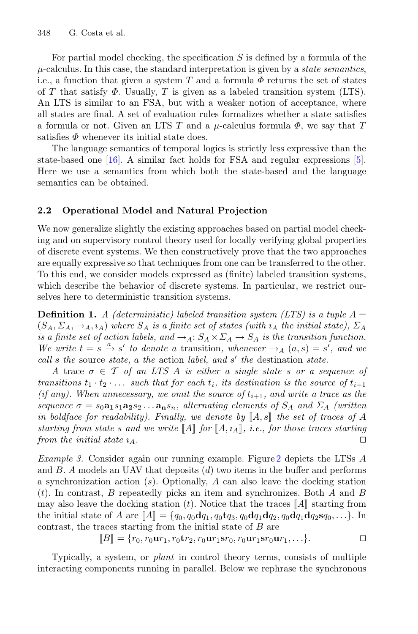For partial model checking, the specification  $S$  is defined by a formula of the μ-calculus. In this case, the standard interpretation is given by a *state semantics*, i.e., a function that given a system T and a formula  $\Phi$  returns the set of states of T that satisfy  $\Phi$ . Usually, T is given as a labeled transition system (LTS). An LTS is similar to an FSA, but with a weaker notion of acceptance, where all states are final. A set of evaluation rules formalizes whether a state satisfies a formula or not. Given an LTS T and a  $\mu$ -calculus formula  $\Phi$ , we say that T satisfies  $\Phi$  whenever its initial state does.

The language semantics of temporal logics is strictly less expressive than the state-based one [\[16\]](#page-17-14). A similar fact holds for FSA and regular expressions [\[5\]](#page-16-6). Here we use a semantics from which both the state-based and the language semantics can be obtained.

### **2.2 Operational Model and Natural Projection**

We now generalize slightly the existing approaches based on partial model checking and on supervisory control theory used for locally verifying global properties of discrete event systems. We then constructively prove that the two approaches are equally expressive so that techniques from one can be transferred to the other. To this end, we consider models expressed as (finite) labeled transition systems, which describe the behavior of discrete systems. In particular, we restrict ourselves here to deterministic transition systems.

**Definition 1.** A (deterministic) labeled transition system (LTS) is a tuple  $A =$  $(S_A, \Sigma_A, \rightarrow_A, \iota_A)$  *where*  $S_A$  *is a finite set of states (with*  $\iota_A$  *the initial state)*,  $\Sigma_A$ *is a finite set of action labels, and*  $\rightarrow$ <sub>*A</sub>*:  $S_A \times \Sigma_A \rightarrow S_A$  *is the transition function.*</sub> *We write*  $t = s \xrightarrow{a} s'$  *to denote a* transition, whenever  $\rightarrow_A (a, s) = s'$ , and we *call* s the source state, a the action *label, and* s' the destination state.

*A* trace  $\sigma \in \mathcal{T}$  *of an LTS A is either a single state s or a sequence of transitions*  $t_1 \cdot t_2 \cdot \ldots$  *such that for each*  $t_i$ *, its destination is the source of*  $t_{i+1}$ *(if any). When unnecessary, we omit the source of*  $t_{i+1}$ *, and write a trace as the sequence*  $\sigma = s_0 a_1 s_1 a_2 s_2 \dots a_n s_n$ , alternating elements of  $S_A$  and  $\Sigma_A$  (written *in boldface for readability). Finally, we denote by*  $[A, s]$  *the set of traces of* A *starting from state* s *and we write* [[A]] *for* [[A, ıA]]*, i.e., for those traces starting from the initial state*  $i_A$ .  $\Box$ 

<span id="page-5-0"></span>*Example 3.* Consider again our running example. Figure [2](#page-6-0) depicts the LTSs A and  $B$ . A models an UAV that deposits  $(d)$  two items in the buffer and performs a synchronization action  $(s)$ . Optionally, A can also leave the docking station  $(t)$ . In contrast, B repeatedly picks an item and synchronizes. Both A and B may also leave the docking station  $(t)$ . Notice that the traces  $\llbracket A \rrbracket$  starting from the initial state of A are  $[[A]] = \{q_0, q_0 dq_1, q_0 tq_3, q_0 dq_1 dq_2, q_0 dq_1 dq_2 s q_0, ...\}$ . In contrast, the traces starting from the initial state of B are

$$
[\![B]\!] = \{r_0, r_0 \mathbf{u} r_1, r_0 \mathbf{t} r_2, r_0 \mathbf{u} r_1 \mathbf{s} r_0, r_0 \mathbf{u} r_1 \mathbf{s} r_0 \mathbf{u} r_1, \ldots\}.
$$

Typically, a system, or *plant* in control theory terms, consists of multiple interacting components running in parallel. Below we rephrase the synchronous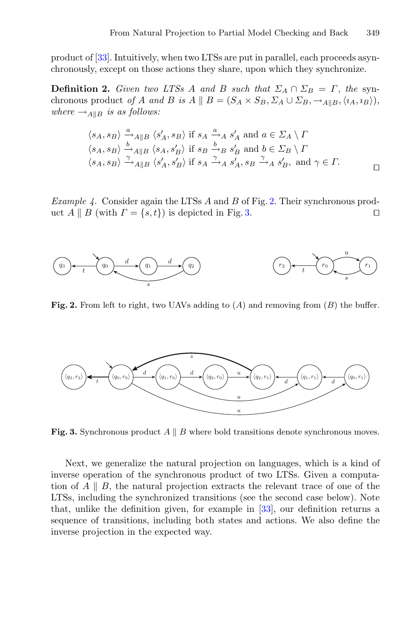product of [\[33\]](#page-18-0). Intuitively, when two LTSs are put in parallel, each proceeds asynchronously, except on those actions they share, upon which they synchronize.

**Definition 2.** *Given two LTSs A and B such that*  $\Sigma_A \cap \Sigma_B = \Gamma$ , the synchronous product *of* A and B is  $A \parallel B = (S_A \times S_B, \Sigma_A \cup \Sigma_B, \rightarrow_{A \parallel B}, \langle \iota_A, \iota_B \rangle),$ *where*  $\rightarrow$ <sub>*A*||*B*</sub> *is as follows:* 

$$
\langle s_A, s_B \rangle \xrightarrow{\alpha} A \| B \langle s'_A, s_B \rangle \text{ if } s_A \xrightarrow{\alpha} s'_A \text{ and } a \in \Sigma_A \setminus \Gamma
$$
  

$$
\langle s_A, s_B \rangle \xrightarrow{\rightarrow} A \| B \langle s_A, s'_B \rangle \text{ if } s_B \xrightarrow{\rightarrow} s'_B \text{ and } b \in \Sigma_B \setminus \Gamma
$$
  

$$
\langle s_A, s_B \rangle \xrightarrow{\gamma} A \| B \langle s'_A, s'_B \rangle \text{ if } s_A \xrightarrow{\gamma} A s'_A, s_B \xrightarrow{\gamma} A s'_B, \text{ and } \gamma \in \Gamma.
$$

*Example 4.* Consider again the LTSs A and B of Fig. [2.](#page-6-0) Their synchronous product  $A \parallel B$  (with  $\Gamma = \{s, t\}$ ) is depicted in Fig. [3.](#page-6-1)  $\Box$ 



<span id="page-6-0"></span>**Fig. 2.** From left to right, two UAVs adding to  $(A)$  and removing from  $(B)$  the buffer.



<span id="page-6-1"></span>Fig. 3. Synchronous product  $A \parallel B$  where bold transitions denote synchronous moves.

Next, we generalize the natural projection on languages, which is a kind of inverse operation of the synchronous product of two LTSs. Given a computation of  $A \parallel B$ , the natural projection extracts the relevant trace of one of the LTSs, including the synchronized transitions (see the second case below). Note that, unlike the definition given, for example in [\[33\]](#page-18-0), our definition returns a sequence of transitions, including both states and actions. We also define the inverse projection in the expected way.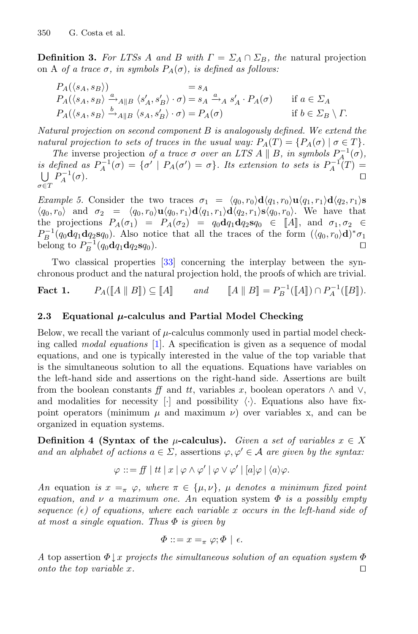**Definition 3.** For LTSs A and B with  $\Gamma = \Sigma_A \cap \Sigma_B$ , the natural projection on A *of a trace*  $\sigma$ *, in symbols*  $P_A(\sigma)$ *, is defined as follows:* 

$$
P_A(\langle s_A, s_B \rangle) = s_A
$$
  
\n
$$
P_A(\langle s_A, s_B \rangle \xrightarrow{a} A \| B \langle s_A', s_B' \rangle \cdot \sigma) = s_A \xrightarrow{a} s_A' \cdot P_A(\sigma)
$$
 if  $a \in \Sigma_A$   
\n
$$
P_A(\langle s_A, s_B \rangle \xrightarrow{b} A \| B \langle s_A, s_B' \rangle \cdot \sigma) = P_A(\sigma)
$$
 if  $b \in \Sigma_B \setminus \Gamma$ .

*Natural projection on second component* B *is analogously defined. We extend the natural projection to sets of traces in the usual way:*  $P_A(T) = \{P_A(\sigma) | \sigma \in T\}$ .

*The* inverse projection *of a trace*  $\sigma$  *over an LTS*  $A \parallel B$ *, in symbols*  $P_A^{-1}(\sigma)$ *, is defined as*  $P_A^{-1}(\sigma) = \{\sigma' \mid P_A(\sigma') = \sigma\}$ . Its extension to sets is  $P_A^{-1}(T) =$ U  $\sigma \in T$  $P_{\lambda}^{-1}$  $A^{-1}(\sigma)$ *.*  $\Box$ Ц

*Example 5.* Consider the two traces  $\sigma_1 = \langle q_0, r_0 \rangle \mathbf{d} \langle q_1, r_0 \rangle \mathbf{u} \langle q_1, r_1 \rangle \mathbf{d} \langle q_2, r_1 \rangle$  $\langle q_0, r_0 \rangle$  and  $\sigma_2 = \langle q_0, r_0 \rangle \mathbf{u} \langle q_0, r_1 \rangle \mathbf{d} \langle q_1, r_1 \rangle \mathbf{d} \langle q_2, r_1 \rangle \mathbf{s} \langle q_0, r_0 \rangle$ . We have that the projections  $P_A(\sigma_1) = P_A(\sigma_2) = q_0 dq_1 dq_2 sq_0 \in [A],$  and  $\sigma_1, \sigma_2 \in$  $P_B^{-1}(q_0 dq_1 dq_2 s q_0)$ . Also notice that all the traces of the form  $(\langle q_0, r_0 \rangle \mathbf{d})^* \sigma_1$ belong to  $P_B^{-1}(q_0\mathbf{d}q_1\mathbf{d}q_2\mathbf{s}q_0)$ .  $\Box$ 

Two classical properties [\[33\]](#page-18-0) concerning the interplay between the synchronous product and the natural projection hold, the proofs of which are trivial.

**Fact 1.**  $P_A([A \parallel B]) \subseteq [A]$  and  $P_B^{-1}([A]) \cap P_A^{-1}([B]).$ 

#### **2.3 Equational** *µ***-calculus and Partial Model Checking**

Below, we recall the variant of  $\mu$ -calculus commonly used in partial model checking called *modal equations* [\[1\]](#page-16-1). A specification is given as a sequence of modal equations, and one is typically interested in the value of the top variable that is the simultaneous solution to all the equations. Equations have variables on the left-hand side and assertions on the right-hand side. Assertions are built from the boolean constants *ff* and *tt*, variables x, boolean operators  $\land$  and  $\lor$ , and modalities for necessity  $\lceil \cdot \rceil$  and possibility  $\langle \cdot \rangle$ . Equations also have fixpoint operators (minimum  $\mu$  and maximum  $\nu$ ) over variables x, and can be organized in equation systems.

**Definition 4 (Syntax of the**  $\mu$ **-calculus).** *Given a set of variables*  $x \in X$ *and an alphabet of actions*  $a \in \Sigma$ , assertions  $\varphi, \varphi' \in \mathcal{A}$  *are given by the syntax:* 

$$
\varphi ::= \text{ff} \mid \text{tt} \mid x \mid \varphi \land \varphi' \mid \varphi \lor \varphi' \mid [a] \varphi \mid \langle a \rangle \varphi.
$$

*An* equation *is*  $x = \pi \varphi$ *, where*  $\pi \in {\mu, \nu}$ *,*  $\mu$  *denotes a minimum fixed point equation, and*  $\nu$  *a maximum one. An* equation system  $\Phi$  *is a possibly empty sequence*  $(\epsilon)$  *of equations, where each variable* x *occurs in the left-hand side of at most a single equation. Thus* Φ *is given by*

$$
\Phi ::= x =_{\pi} \varphi; \Phi \mid \epsilon.
$$

*A* top assertion  $\Phi \downarrow x$  *projects the simultaneous solution of an equation system*  $\Phi$ *onto the top variable* <sup>x</sup>*.* - $\Box$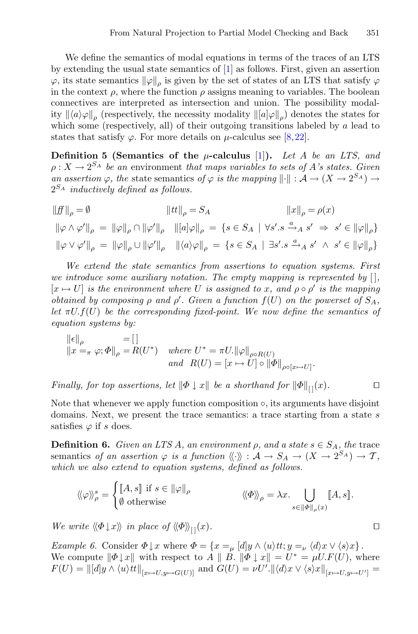We define the semantics of modal equations in terms of the traces of an LTS by extending the usual state semantics of [\[1\]](#page-16-1) as follows. First, given an assertion  $\varphi$ , its state semantics  $\|\varphi\|_o$  is given by the set of states of an LTS that satisfy  $\varphi$ in the context  $\rho$ , where the function  $\rho$  assigns meaning to variables. The boolean connectives are interpreted as intersection and union. The possibility modality  $\|\langle a\rangle \varphi\|_{\rho}$  (respectively, the necessity modality  $\|[a]\varphi\|_{\rho}$ ) denotes the states for which some (respectively, all) of their outgoing transitions labeled by  $a$  lead to states that satisfy  $\varphi$ . For more details on  $\mu$ -calculus see [\[8](#page-16-7)[,22](#page-17-1)].

**Definition 5 (Semantics of the** μ**-calculus** [\[1](#page-16-1)]**).** *Let* A *be an LTS, and*  $\rho: X \to 2^{S_A}$  *be an environment that maps variables to sets of A's states. Given an assertion*  $\varphi$ *, the* state semantics *of*  $\varphi$  *is the mapping*  $\|\cdot\|$  :  $\mathcal{A} \to (X \to 2^{S_A}) \to$ 2<sup>S</sup><sup>A</sup> *inductively defined as follows.*

$$
\begin{aligned}\n||f||_{\rho} &= \emptyset & ||t||_{\rho} &= S_A & ||x||_{\rho} &= \rho(x) \\
||\varphi \wedge \varphi'||_{\rho} &= ||\varphi||_{\rho} \cap ||\varphi'||_{\rho} & ||[a]\varphi||_{\rho} &= \{s \in S_A \mid \forall s'.s \xrightarrow{a} s' \Rightarrow s' \in ||\varphi||_{\rho}\} \\
||\varphi \vee \varphi'||_{\rho} &= ||\varphi||_{\rho} \cup ||\varphi'||_{\rho} & ||\langle a \rangle \varphi||_{\rho} &= \{s \in S_A \mid \exists s'.s \xrightarrow{a} s' \land s' \in ||\varphi||_{\rho}\}\n\end{aligned}
$$

*We extend the state semantics from assertions to equation systems. First we introduce some auxiliary notation. The empty mapping is represented by* [],  $[x \mapsto U]$  *is the environment where* U *is assigned to* x, and  $\rho \circ \rho'$  *is the mapping obtained by composing*  $\rho$  *and*  $\rho'$ . Given a function  $f(U)$  *on the powerset of*  $S_A$ *, let*  $\pi U.f(U)$  *be the corresponding fixed-point. We now define the semantics of equation systems by:*

$$
\begin{aligned}\n\|\epsilon\|_{\rho} &= [ \, ] \\
\|x =_{\pi} \varphi; \Phi\|_{\rho} &= R(U^*) \quad \text{where } U^* = \pi U. \|\varphi\|_{\rho \circ R(U)} \\
\text{and} \quad R(U) &= [x \mapsto U] \circ \|\Phi\|_{\rho \circ [x \mapsto U]}.\n\end{aligned}
$$

*Finally, for top assertions, let*  $\|\Phi \downarrow x\|$  *be a shorthand for*  $\|\Phi\|_{\Box}(x)$ *.* 

 $\Box$ 

 $\Box$ 

Note that whenever we apply function composition  $\circ$ , its arguments have disjoint domains. Next, we present the trace semantics: a trace starting from a state s satisfies  $\varphi$  if s does.

<span id="page-8-0"></span>**Definition 6.** *Given an LTS A, an environment*  $\rho$ *, and a state*  $s \in S_A$ *, the* trace semantics *of an assertion*  $\varphi$  *is a function*  $\langle \langle \cdot \rangle \rangle : A \to S_A \to (X \to 2^{S_A}) \to T$ , *which we also extend to equation systems, defined as follows.*

$$
\langle \! \langle \varphi \rangle \! \rangle_{\rho}^{s} = \begin{cases} [ \! [ A , s ] \!] \text{ if } s \in \! [ \! | \varphi | \! |_{\rho} & \text{ if } \; \langle \varphi \rangle \! \rangle_{\rho} = \lambda x. \bigcup_{s \in \! [ \! | \varPhi | \! |_{\rho}(x)} [ \! [ A , s ] \! ] \! ]. \end{cases}
$$

*We write*  $\langle \langle \Phi \downarrow x \rangle \rangle$  *in place of*  $\langle \langle \Phi \rangle \rangle_{[]}(x)$ *.*  $\Box$ 

<span id="page-8-1"></span>*Example 6.* Consider  $\Phi \downarrow x$  where  $\Phi = \{x = \mu \left[ d \right] y \wedge \langle u \rangle tt; y = \nu \langle d \rangle x \vee \langle s \rangle x\}.$ We compute  $\|\Phi\downarrow x\|$  with respect to  $A \parallel B$ .  $\|\Phi\downarrow x\| = U^* = \mu U.F(U)$ , where  $F(U) = ||[d]y \wedge \langle u \rangle \ddot{t}||_{[x \mapsto U, y \mapsto G(U)]}$  and  $G(U) = \nu U'.||\langle d \rangle x \vee \langle s \rangle x||_{[x \mapsto U, y \mapsto U']}$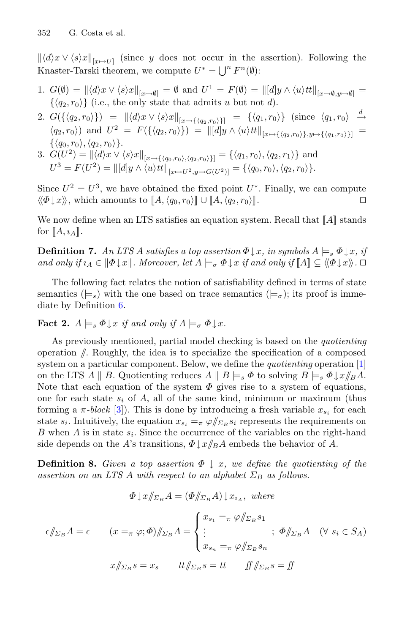$\| \langle d \rangle x \vee \langle s \rangle x \|_{[x \mapsto U]}$  (since y does not occur in the assertion). Following the Knaster-Tarski theorem, we compute  $U^* = \bigcup^n F^n(\emptyset)$ :

- 1.  $G(\emptyset) = ||\langle d \rangle x \vee \langle s \rangle x||_{[x \mapsto \emptyset]} = \emptyset$  and  $U^1 = F(\emptyset) = ||[d]y \wedge \langle u \rangle tt||_{[x \mapsto \emptyset, y \mapsto \emptyset]} =$  $\{\langle q_2, r_0 \rangle\}$  (i.e., the only state that admits u but not d).
- 2.  $G(\{\langle q_2, r_0 \rangle\}) = \| \langle d \rangle x \vee \langle s \rangle x \|_{[x \mapsto \{\langle q_2, r_0 \rangle\}]} = \{\langle q_1, r_0 \rangle\} \text{ (since } \langle q_1, r_0 \rangle \xrightarrow{d}$  $\langle q_2, r_0 \rangle$  and  $U^2 = F(\{\langle q_2, r_0 \rangle\}) = ||[d]y \wedge \langle u \rangle t||_{[x \mapsto \{\langle q_2, r_0 \rangle\}, y \mapsto \{\langle q_1, r_0 \rangle\}] =$  $\{\langle q_0, r_0 \rangle, \langle q_2, r_0 \rangle\}.$
- 3.  $G(U^2) = ||\langle d \rangle x \vee \langle s \rangle x||_{[x \mapsto {\langle q_0, r_0 \rangle}, \langle q_2, r_0 \rangle]} = {\{\langle q_1, r_0 \rangle, \langle q_2, r_1 \rangle\}}$  and  $U^3 = F(U^2) = ||[d]y \wedge \langle u \rangle \dot{t}||_{[x \mapsto U^2, y \mapsto G(U^2)]} = \{ \langle q_0, r_0 \rangle, \langle q_2, r_0 \rangle \}.$

Since  $U^2 = U^3$ , we have obtained the fixed point  $U^*$ . Finally, we can compute  $\langle\!\langle \Phi \downarrow x \rangle\!\rangle$ , which amounts to  $\llbracket A, \langle q_0, r_0 \rangle \rrbracket \cup \llbracket A, \langle q_2, r_0 \rangle \rrbracket$ .  $\Box$ 

We now define when an LTS satisfies an equation system. Recall that  $\llbracket A \rrbracket$  stands for  $[[A, i_A]].$ 

**Definition 7.** An LTS A satisfies a top assertion  $\Phi \downarrow x$ *, in symbols*  $A \models_s \Phi \downarrow x$ *, if and only if*  $i_A \in ||\Phi \downarrow x||$ . Moreover, let  $A \models_{\sigma} \Phi \downarrow x$  *if and only if*  $[A] \subseteq \langle \Phi \downarrow x \rangle$ .  $\Box$ 

The following fact relates the notion of satisfiability defined in terms of state semantics ( $\models$ <sub>s</sub>) with the one based on trace semantics ( $\models$ <sub>σ</sub>); its proof is immediate by Definition [6.](#page-8-0)

**Fact 2.**  $A \models_s \Phi \downarrow x$  *if and only if*  $A \models_\sigma \Phi \downarrow x$ *.* 

As previously mentioned, partial model checking is based on the *quotienting* operation  $\ell$ . Roughly, the idea is to specialize the specification of a composed system on a particular component. Below, we define the *quotienting* operation [\[1](#page-16-1)] on the LTS A || B. Quotienting reduces  $A \parallel B \models_s \Phi$  to solving  $B \models_s \Phi \downarrow x / B A$ . Note that each equation of the system  $\Phi$  gives rise to a system of equations, one for each state  $s_i$  of A, all of the same kind, minimum or maximum (thus forming a  $\pi$ -block [\[3](#page-16-2)]). This is done by introducing a fresh variable  $x_{s_i}$  for each state  $s_i$ . Intuitively, the equation  $x_{s_i} = \pi \varphi / \sqrt{\sum_B s_i}$  represents the requirements on B when A is in state  $s_i$ . Since the occurrence of the variables on the right-hand side depends on the A's transitions,  $\Phi \downarrow x /_{B} A$  embeds the behavior of A.

<span id="page-9-0"></span>**Definition 8.** *Given a top assertion*  $\Phi \downarrow x$ *, we define the quotienting of the assertion on an LTS A with respect to an alphabet*  $\Sigma_B$  *as follows.* 

$$
\Phi \downarrow x/\!\!/_{\Sigma_B} A = (\Phi/\!\!/_{\Sigma_B} A) \downarrow x_{i_A}, \text{ where}
$$

$$
\epsilon/\!\!/_{\Sigma_B} A = \epsilon \qquad (x =_{\pi} \varphi; \Phi)/\!\!/_{\Sigma_B} A = \begin{cases} x_{s_1} =_{\pi} \varphi/\!\!/_{\Sigma_B} s_1 \\ \vdots \\ x_{s_n} =_{\pi} \varphi/\!\!/_{\Sigma_B} s_n \end{cases} ; \ \Phi/\!\!/_{\Sigma_B} A \quad (\forall \ s_i \in S_A)
$$

$$
x/\!\!/_{\Sigma_B} s = x_s \qquad tt/\!\!/_{\Sigma_B} s = tt \qquad ff/\!\!/_{\Sigma_B} s = ff
$$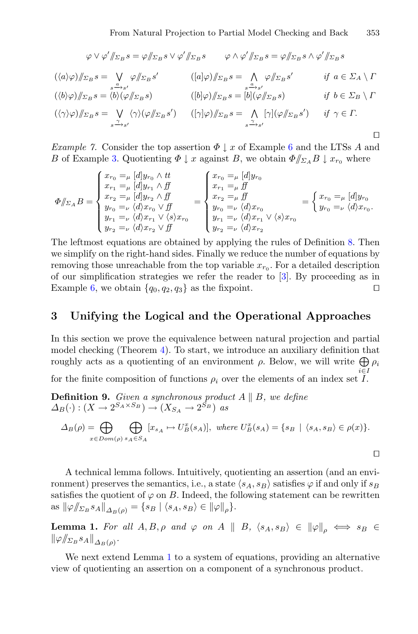$$
\varphi \vee \varphi' / \chi_B s = \varphi / \chi_B s \vee \varphi' / \chi_B s \qquad \varphi \wedge \varphi' / \chi_B s = \varphi / \chi_B s \wedge \varphi' / \chi_B s
$$
  

$$
(\langle a \rangle \varphi) / \chi_B s = \bigvee_{s \xrightarrow{s'} s'} \varphi / \chi_B s' \qquad ([a] \varphi) / \chi_B s = \bigwedge_{s \xrightarrow{s'} s'} \varphi / \chi_B s' \qquad \text{if } a \in \Sigma_A \setminus \Gamma
$$
  

$$
(\langle b \rangle \varphi) / \chi_B s = \langle b \rangle (\varphi / \chi_B s) \qquad ([b] \varphi) / \chi_B s = [b] (\varphi / \chi_B s) \qquad \text{if } b \in \Sigma_B \setminus \Gamma
$$
  

$$
(\langle \gamma \rangle \varphi) / \chi_B s = \bigvee_{s \xrightarrow{s'} s'} \langle \gamma \rangle (\varphi / \chi_B s') \qquad ([\gamma] \varphi) / \chi_B s = \bigwedge_{s \xrightarrow{s'} s'} [\gamma] (\varphi / \chi_B s') \qquad \text{if } \gamma \in \Gamma.
$$

*Example 7.* Consider the top assertion  $\Phi \downarrow x$  of Example [6](#page-8-1) and the LTSs A and B of Example [3.](#page-5-0) Quotienting  $\Phi \downarrow x$  against B, we obtain  $\Phi/\!\!/_{\Sigma_A} B \downarrow x_{r_0}$  where

$$
\Phi/\!\!/_{\Sigma_A} B = \begin{cases}\nx_{r_0} =_\mu [d]y_{r_0} \wedge tt \\
x_{r_1} =_\mu [d]y_{r_1} \wedge ff \\
x_{r_2} =_\mu [d]y_{r_2} \wedge ff \\
y_{r_0} =_\nu \langle d \rangle x_{r_0} \vee ff \\
y_{r_1} =_\nu \langle d \rangle x_{r_1} \vee \langle s \rangle x_{r_0} \\
y_{r_2} =_\nu \langle d \rangle x_{r_2} \vee ff\n\end{cases} = \begin{cases}\nx_{r_0} =_\mu [d]y_{r_0} \\
x_{r_1} =_\mu ff \\
y_{r_0} =_\nu \langle d \rangle x_{r_0} \\
y_{r_0} =_\nu \langle d \rangle x_{r_0} \\
y_{r_1} =_\nu \langle d \rangle x_{r_1} \vee \langle s \rangle x_{r_0} \\
y_{r_2} =_\nu \langle d \rangle x_{r_2} \vee ff\n\end{cases} = \begin{cases}\nx_{r_0} =_\mu [d]y_{r_0} \\
x_{r_0} =_\mu [d]y_{r_0} \\
y_{r_0} =_\nu \langle d \rangle x_{r_0} \\
y_{r_1} =_\nu \langle d \rangle x_{r_1} \vee \langle s \rangle x_{r_0}\n\end{cases}
$$

The leftmost equations are obtained by applying the rules of Definition [8.](#page-9-0) Then we simplify on the right-hand sides. Finally we reduce the number of equations by removing those unreachable from the top variable  $x_{r_0}$ . For a detailed description of our simplification strategies we refer the reader to [\[3](#page-16-2)]. By proceeding as in Example [6,](#page-8-1) we obtain  $\{q_0, q_2, q_3\}$  as the fixpoint.  $\Box$ 

#### <span id="page-10-0"></span>**3 Unifying the Logical and the Operational Approaches**

In this section we prove the equivalence between natural projection and partial model checking (Theorem [4\)](#page-11-0). To start, we introduce an auxiliary definition that roughly acts as a quotienting of an environment  $\rho$ . Below, we will write  $\bigoplus \rho_i$ 

for the finite composition of functions  $\rho_i$  over the elements of an index set I.

**Definition 9.** *Given a synchronous product*  $A \parallel B$ *, we define*  $\Delta_B(\cdot): (X \to 2^{S_A \times S_B}) \to (X_{S_A} \to 2^{S_B})$  as

$$
\Delta_B(\rho) = \bigoplus_{x \in Dom(\rho)} \bigoplus_{s_A \in S_A} [x_{s_A} \mapsto U_B^x(s_A)], \text{ where } U_B^x(s_A) = \{s_B \mid \langle s_A, s_B \rangle \in \rho(x)\}.
$$

A technical lemma follows. Intuitively, quotienting an assertion (and an environment) preserves the semantics, i.e., a state  $\langle s_A, s_B \rangle$  satisfies  $\varphi$  if and only if  $s_B$ satisfies the quotient of  $\varphi$  on B. Indeed, the following statement can be rewritten as  $\|\varphi\|_{\Sigma_B} s_A\|_{\Delta_B(\rho)} = \{s_B | \langle s_A, s_B \rangle \in \|\varphi\|_{\rho}\}.$ 

<span id="page-10-1"></span>**Lemma 1.** For all  $A, B, \rho$  and  $\varphi$  on  $A \parallel B, \langle s_A, s_B \rangle \in ||\varphi||_{\rho} \iff s_B \in$  $\|\varphi\|_{\Sigma_B} s_A\|_{\Delta_B(\rho)}.$ 

We next extend Lemma [1](#page-10-1) to a system of equations, providing an alternative view of quotienting an assertion on a component of a synchronous product.

-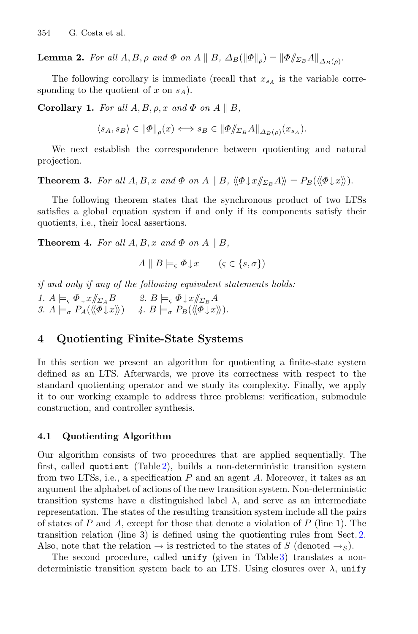**Lemma 2.** For all  $A, B, \rho$  and  $\Phi$  on  $A \parallel B, \Delta_B(\|\Phi\|_{\rho}) = \|\Phi\|_{\Sigma_B} A\|_{\Lambda_B(\rho)}$ .

The following corollary is immediate (recall that  $x_{s_A}$  is the variable corresponding to the quotient of x on  $s_A$ ).

**Corollary 1.** *For all*  $A, B, \rho, x$  *and*  $\Phi$  *on*  $A \parallel B$ *,* 

 $\langle s_A, s_B \rangle \in ||\varPhi||_\rho(x) \Longleftrightarrow s_B \in ||\varPhi/\!\!/_{\Sigma_B} A||_{\varDelta_B(\rho)}(x_{s_A}).$ 

We next establish the correspondence between quotienting and natural projection.

**Theorem 3.** For all  $A, B, x$  and  $\Phi$  on  $A \parallel B$ ,  $\langle \langle \Phi \downarrow x | \rangle \rangle_B A \rangle = P_B(\langle \langle \Phi \downarrow x | \rangle).$ 

The following theorem states that the synchronous product of two LTSs satisfies a global equation system if and only if its components satisfy their quotients, i.e., their local assertions.

<span id="page-11-0"></span>**Theorem 4.** For all  $A, B, x$  and  $\Phi$  on  $A \parallel B$ ,

$$
A \parallel B \models_{\varsigma} \Phi \downarrow x \qquad (\varsigma \in \{s, \sigma\})
$$

*if and only if any of the following equivalent statements holds:* 1.  $A \models_{\varsigma} \Phi \downarrow x/\langle z_A B \rangle$  2.  $B \models_{\varsigma} \Phi \downarrow x/\langle z_B A \rangle$ 3.  $A \models_{\sigma} P_A(\langle\!\langle \Phi \downarrow x \rangle\!\rangle) \quad 4. B \models_{\sigma} P_B(\langle\!\langle \Phi \downarrow x \rangle\!\rangle).$ 

## <span id="page-11-1"></span>**4 Quotienting Finite-State Systems**

In this section we present an algorithm for quotienting a finite-state system defined as an LTS. Afterwards, we prove its correctness with respect to the standard quotienting operator and we study its complexity. Finally, we apply it to our working example to address three problems: verification, submodule construction, and controller synthesis.

### **4.1 Quotienting Algorithm**

Our algorithm consists of two procedures that are applied sequentially. The first, called quotient (Table [2\)](#page-12-0), builds a non-deterministic transition system from two LTSs, i.e., a specification  $P$  and an agent  $A$ . Moreover, it takes as an argument the alphabet of actions of the new transition system. Non-deterministic transition systems have a distinguished label  $\lambda$ , and serve as an intermediate representation. The states of the resulting transition system include all the pairs of states of P and A, except for those that denote a violation of P (line 1). The transition relation (line 3) is defined using the quotienting rules from Sect. [2.](#page-4-0) Also, note that the relation  $\rightarrow$  is restricted to the states of S (denoted  $\rightarrow$ s).

The second procedure, called unify (given in Table [3\)](#page-13-0) translates a nondeterministic transition system back to an LTS. Using closures over  $\lambda$ , unify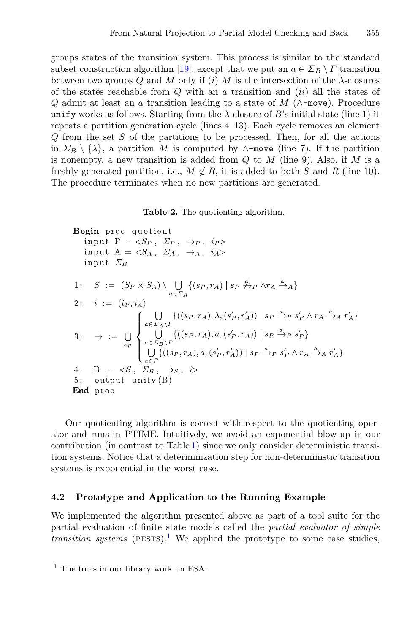groups states of the transition system. This process is similar to the standard subset construction algorithm [\[19\]](#page-17-2), except that we put an  $a \in \Sigma_B \setminus \Gamma$  transition between two groups Q and M only if (i) M is the intersection of the  $\lambda$ -closures of the states reachable from  $Q$  with an a transition and *(ii)* all the states of Q admit at least an a transition leading to a state of  $M$  ( $\land$ -move). Procedure unify works as follows. Starting from the  $\lambda$ -closure of B's initial state (line 1) it repeats a partition generation cycle (lines 4–13). Each cycle removes an element Q from the set S of the partitions to be processed. Then, for all the actions in  $\Sigma_B \setminus \{\lambda\}$ , a partition M is computed by  $\wedge$ -move (line 7). If the partition is nonempty, a new transition is added from  $Q$  to  $M$  (line 9). Also, if  $M$  is a freshly generated partition, i.e.,  $M \notin R$ , it is added to both S and R (line 10). The procedure terminates when no new partitions are generated.

#### <span id="page-12-0"></span>**Table 2.** The quotienting algorithm.

Begin proc quotient input  $P = \langle S_P, \Sigma_P, \rightarrow_P, i_P \rangle$ input  $A = \langle S_A, \Sigma_A, \rightarrow_A, i_A \rangle$ input  $\Sigma_B$ 1:  $S := (S_P \times S_A) \setminus \bigcup_{a \in \Sigma_A} \{ (s_P, r_A) \mid s_P \nrightarrow r_P \land r_A \xrightarrow{a} A \}$ 2:  $i := (i_P, i_A)$  $3: \quad \rightarrow \; := \; \bigcup_{s_P} \; \begin{cases} \; & \text{if}\; ((s_P, r_A), \lambda, (s'_P, r'_A)) \; | \; s_P \stackrel{a}{\rightarrow}_P s'_P \wedge r_A \stackrel{a}{\rightarrow}_A r'_A \} \\ \; & \text{if}\; ((s_P, r_A), a, (s'_P, r_A)) \; | \; s_P \stackrel{a}{\rightarrow}_P s'_P \} \\ \; & \text{if}\; ((s_P, r_A), a, (s'_P, r'_A)) \; | \; s_P \stackrel{a}{\rightarrow}_P s'_P \wedge r_A \stackrel{a}{\rightarrow}_A r'_A \} \end{cases}$ 4: B :=  $\langle S, \Sigma_B, \rightarrow_S, \hat{\nu} \rangle$  $5:$ output unify(B) End proc

Our quotienting algorithm is correct with respect to the quotienting operator and runs in PTIME. Intuitively, we avoid an exponential blow-up in our contribution (in contrast to Table [1\)](#page-2-0) since we only consider deterministic transition systems. Notice that a determinization step for non-deterministic transition systems is exponential in the worst case.

#### **4.2 Prototype and Application to the Running Example**

We implemented the algorithm presented above as part of a tool suite for the partial evaluation of finite state models called the *partial evaluator of simple transition systems* (PESTS).<sup>[1](#page-12-1)</sup> We applied the prototype to some case studies,

<span id="page-12-1"></span> $\overline{1}$  The tools in our library work on FSA.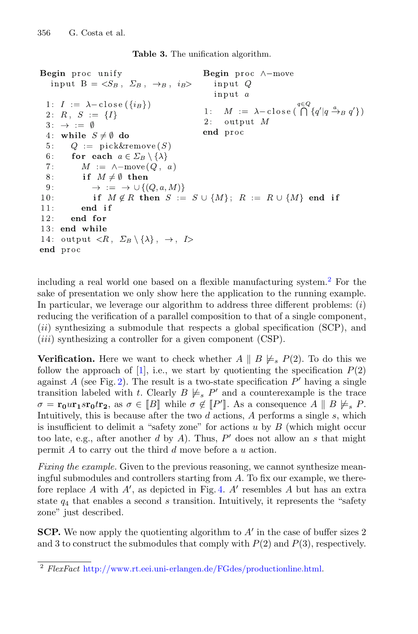<span id="page-13-0"></span>

```
Begin proc unify
                                                       Begin proc \wedge-move
   input B = \langle S_B, \Sigma_B, \rightarrow_B, i_B \rangleinput Q
                                                           input a
                                                              M := \lambda - \text{close} \left( \bigcap_{q \in Q} \{ q' | q \xrightarrow{a} B q' \} \right)1: I := \lambda - \text{close}(\{i_B\})1:2: R, S := \{I\}2:output M3: \rightarrow := \emptysetend proc
  4: while S \neq \emptyset do
  5:Q := \text{pickkremove}(S)6:for each a \in \Sigma_B \setminus \{\lambda\}7:M := \wedge \text{-move}(Q, a)if M \neq \emptyset then
  8:9:\rightarrow \ \ := \ \rightarrow \cup \{ (Q, a, M) \}if M \notin R then S := S \cup \{M\}; R := R \cup \{M\} end if
10:11:end if
12.end for
13: end while
14: output \langle R, \Sigma_B \setminus \{\lambda\}, \rightarrow, I \rangleend proc
```
including a real world one based on a flexible manufacturing system.[2](#page-13-1) For the sake of presentation we only show here the application to the running example. In particular, we leverage our algorithm to address three different problems:  $(i)$ reducing the verification of a parallel composition to that of a single component,  $(ii)$  synthesizing a submodule that respects a global specification (SCP), and  $(iii)$  synthesizing a controller for a given component (CSP).

**Verification.** Here we want to check whether  $A \parallel B \not\models P(2)$ . To do this we follow the approach of [\[1\]](#page-16-1), i.e., we start by quotienting the specification  $P(2)$ against A (see Fig. [2\)](#page-6-0). The result is a two-state specification  $P'$  having a single transition labeled with t. Clearly  $B \not\models s P'$  and a counterexample is the trace  $\sigma = \mathbf{r_0} u \mathbf{r_1} s \mathbf{r_0} t \mathbf{r_2}$ , as  $\sigma \in [B]$  while  $\sigma \notin [P']$ . As a consequence  $A \parallel B \not\models_{s} P$ . Intuitively, this is because after the two  $d$  actions,  $A$  performs a single  $s$ , which is insufficient to delimit a "safety zone" for actions u by  $B$  (which might occur too late, e.g., after another d by A). Thus, P' does not allow an s that might permit  $A$  to carry out the third  $d$  move before a  $u$  action.

*Fixing the example.* Given to the previous reasoning, we cannot synthesize meaningful submodules and controllers starting from A. To fix our example, we therefore replace  $A$  with  $A'$ , as depicted in Fig. [4.](#page-14-0)  $A'$  resembles  $A$  but has an extra state  $q_4$  that enables a second s transition. Intuitively, it represents the "safety" zone" just described.

**SCP.** We now apply the quotienting algorithm to A' in the case of buffer sizes 2 and 3 to construct the submodules that comply with  $P(2)$  and  $P(3)$ , respectively.

<span id="page-13-1"></span><sup>2</sup> FlexFact [http://www.rt.eei.uni-erlangen.de/FGdes/productionline.html.](http://www.rt.eei.uni-erlangen.de/FGdes/productionline.html)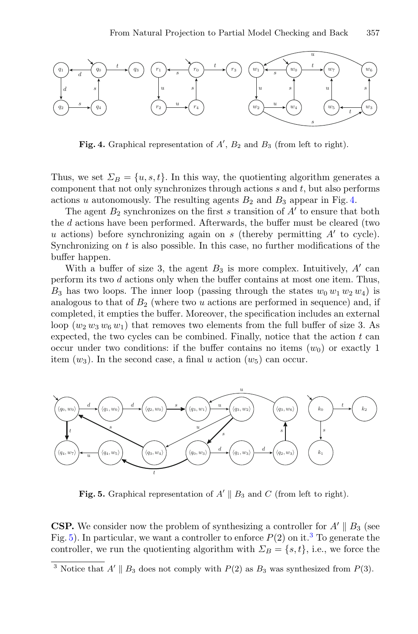

<span id="page-14-0"></span>**Fig. 4.** Graphical representation of  $A'$ ,  $B_2$  and  $B_3$  (from left to right).

Thus, we set  $\Sigma_B = \{u, s, t\}$ . In this way, the quotienting algorithm generates a component that not only synchronizes through actions  $s$  and  $t$ , but also performs actions u autonomously. The resulting agents  $B_2$  and  $B_3$  appear in Fig. [4.](#page-14-0)

The agent  $B_2$  synchronizes on the first s transition of  $A'$  to ensure that both the d actions have been performed. Afterwards, the buffer must be cleared (two u actions) before synchronizing again on s (thereby permitting  $A'$  to cycle). Synchronizing on t is also possible. In this case, no further modifications of the buffer happen.

With a buffer of size 3, the agent  $B_3$  is more complex. Intuitively, A' can perform its two  $d$  actions only when the buffer contains at most one item. Thus,  $B_3$  has two loops. The inner loop (passing through the states  $w_0 w_1 w_2 w_4$ ) is analogous to that of  $B_2$  (where two u actions are performed in sequence) and, if completed, it empties the buffer. Moreover, the specification includes an external loop  $(w_2 w_3 w_6 w_1)$  that removes two elements from the full buffer of size 3. As expected, the two cycles can be combined. Finally, notice that the action  $t$  can occur under two conditions: if the buffer contains no items  $(w_0)$  or exactly 1 item  $(w_3)$ . In the second case, a final u action  $(w_5)$  can occur.



<span id="page-14-1"></span>**Fig. 5.** Graphical representation of  $A' \parallel B_3$  and C (from left to right).

**CSP.** We consider now the problem of synthesizing a controller for  $A' \parallel B_3$  (see Fig. [5\)](#page-14-1). In particular, we want a controller to enforce  $P(2)$  on it.<sup>[3](#page-14-2)</sup> To generate the controller, we run the quotienting algorithm with  $\Sigma_B = \{s, t\}$ , i.e., we force the

<span id="page-14-2"></span><sup>&</sup>lt;sup>3</sup> Notice that  $A' \parallel B_3$  does not comply with  $P(2)$  as  $B_3$  was synthesized from  $P(3)$ .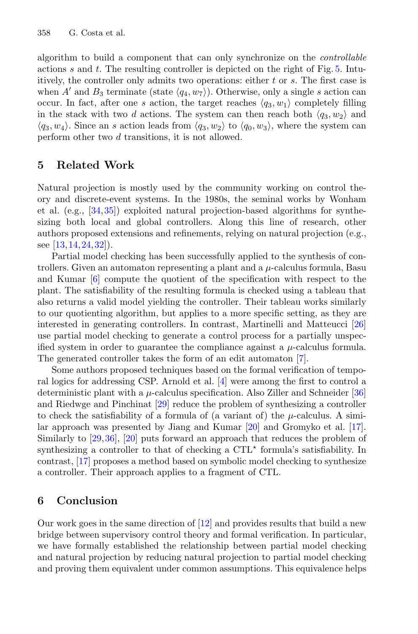algorithm to build a component that can only synchronize on the *controllable* actions s and t. The resulting controller is depicted on the right of Fig.  $5$ . Intuitively, the controller only admits two operations: either t or s. The first case is when A' and  $B_3$  terminate (state  $\langle q_4, w_7 \rangle$ ). Otherwise, only a single s action can occur. In fact, after one s action, the target reaches  $\langle q_3, w_1 \rangle$  completely filling in the stack with two d actions. The system can then reach both  $\langle q_3, w_2 \rangle$  and  $\langle q_3, w_4 \rangle$ . Since an s action leads from  $\langle q_3, w_2 \rangle$  to  $\langle q_0, w_3 \rangle$ , where the system can perform other two d transitions, it is not allowed.

## <span id="page-15-0"></span>**5 Related Work**

Natural projection is mostly used by the community working on control theory and discrete-event systems. In the 1980s, the seminal works by Wonham et al. (e.g., [\[34,](#page-18-1)[35\]](#page-18-2)) exploited natural projection-based algorithms for synthesizing both local and global controllers. Along this line of research, other authors proposed extensions and refinements, relying on natural projection (e.g., see [\[13](#page-17-4)[,14,](#page-17-3)[24](#page-17-15)[,32](#page-18-3)]).

Partial model checking has been successfully applied to the synthesis of controllers. Given an automaton representing a plant and a  $\mu$ -calculus formula, Basu and Kumar [\[6\]](#page-16-4) compute the quotient of the specification with respect to the plant. The satisfiability of the resulting formula is checked using a tableau that also returns a valid model yielding the controller. Their tableau works similarly to our quotienting algorithm, but applies to a more specific setting, as they are interested in generating controllers. In contrast, Martinelli and Matteucci [\[26](#page-17-16)] use partial model checking to generate a control process for a partially unspecified system in order to guarantee the compliance against a  $\mu$ -calculus formula. The generated controller takes the form of an edit automaton [\[7](#page-16-8)].

Some authors proposed techniques based on the formal verification of temporal logics for addressing CSP. Arnold et al. [\[4](#page-16-9)] were among the first to control a deterministic plant with a  $\mu$ -calculus specification. Also Ziller and Schneider [\[36](#page-18-6)] and Riedwge and Pinchinat [\[29\]](#page-17-17) reduce the problem of synthesizing a controller to check the satisfiability of a formula of (a variant of) the  $\mu$ -calculus. A similar approach was presented by Jiang and Kumar [\[20\]](#page-17-18) and Gromyko et al. [\[17\]](#page-17-12). Similarly to [\[29,](#page-17-17)[36](#page-18-6)], [\[20](#page-17-18)] puts forward an approach that reduces the problem of synthesizing a controller to that of checking a  $\text{CTL}^{\star}$  formula's satisfiability. In contrast, [\[17\]](#page-17-12) proposes a method based on symbolic model checking to synthesize a controller. Their approach applies to a fragment of CTL.

## <span id="page-15-1"></span>**6 Conclusion**

Our work goes in the same direction of [\[12\]](#page-17-9) and provides results that build a new bridge between supervisory control theory and formal verification. In particular, we have formally established the relationship between partial model checking and natural projection by reducing natural projection to partial model checking and proving them equivalent under common assumptions. This equivalence helps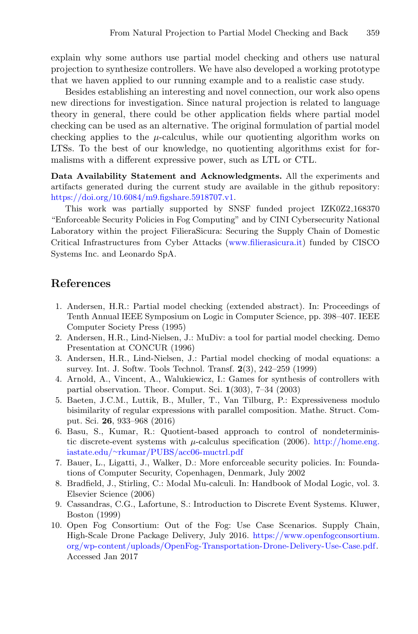explain why some authors use partial model checking and others use natural projection to synthesize controllers. We have also developed a working prototype that we haven applied to our running example and to a realistic case study.

Besides establishing an interesting and novel connection, our work also opens new directions for investigation. Since natural projection is related to language theory in general, there could be other application fields where partial model checking can be used as an alternative. The original formulation of partial model checking applies to the  $\mu$ -calculus, while our quotienting algorithm works on LTSs. To the best of our knowledge, no quotienting algorithms exist for formalisms with a different expressive power, such as LTL or CTL.

**Data Availability Statement and Acknowledgments.** All the experiments and artifacts generated during the current study are available in the github repository: [https://doi.org/10.6084/m9.figshare.5918707.v1.](https://doi.org/10.6084/m9.figshare.5918707.v1)

This work was partially supported by SNSF funded project IZK0Z2 168370 "Enforceable Security Policies in Fog Computing" and by CINI Cybersecurity National Laboratory within the project FilieraSicura: Securing the Supply Chain of Domestic Critical Infrastructures from Cyber Attacks [\(www.filierasicura.it\)](www.filierasicura.it) funded by CISCO Systems Inc. and Leonardo SpA.

### **References**

- <span id="page-16-1"></span>1. Andersen, H.R.: Partial model checking (extended abstract). In: Proceedings of Tenth Annual IEEE Symposium on Logic in Computer Science, pp. 398–407. IEEE Computer Society Press (1995)
- <span id="page-16-3"></span>2. Andersen, H.R., Lind-Nielsen, J.: MuDiv: a tool for partial model checking. Demo Presentation at CONCUR (1996)
- <span id="page-16-2"></span>3. Andersen, H.R., Lind-Nielsen, J.: Partial model checking of modal equations: a survey. Int. J. Softw. Tools Technol. Transf. **2**(3), 242–259 (1999)
- <span id="page-16-9"></span>4. Arnold, A., Vincent, A., Walukiewicz, I.: Games for synthesis of controllers with partial observation. Theor. Comput. Sci. **1**(303), 7–34 (2003)
- <span id="page-16-6"></span>5. Baeten, J.C.M., Luttik, B., Muller, T., Van Tilburg, P.: Expressiveness modulo bisimilarity of regular expressions with parallel composition. Mathe. Struct. Comput. Sci. **26**, 933–968 (2016)
- <span id="page-16-4"></span>6. Basu, S., Kumar, R.: Quotient-based approach to control of nondeterministic discrete-event systems with  $\mu$ -calculus specification (2006). [http://home.eng.](http://home.eng.iastate.edu/~rkumar/PUBS/acc06-muctrl.pdf) iastate.edu/∼[rkumar/PUBS/acc06-muctrl.pdf](http://home.eng.iastate.edu/~rkumar/PUBS/acc06-muctrl.pdf)
- <span id="page-16-8"></span>7. Bauer, L., Ligatti, J., Walker, D.: More enforceable security policies. In: Foundations of Computer Security, Copenhagen, Denmark, July 2002
- <span id="page-16-7"></span>8. Bradfield, J., Stirling, C.: Modal Mu-calculi. In: Handbook of Modal Logic, vol. 3. Elsevier Science (2006)
- <span id="page-16-0"></span>9. Cassandras, C.G., Lafortune, S.: Introduction to Discrete Event Systems. Kluwer, Boston (1999)
- <span id="page-16-5"></span>10. Open Fog Consortium: Out of the Fog: Use Case Scenarios. Supply Chain, High-Scale Drone Package Delivery, July 2016. [https://www.openfogconsortium.](https://www.openfogconsortium.org/wp-content/uploads/OpenFog-Transportation-Drone-Delivery-Use-Case.pdf) [org/wp-content/uploads/OpenFog-Transportation-Drone-Delivery-Use-Case.pdf.](https://www.openfogconsortium.org/wp-content/uploads/OpenFog-Transportation-Drone-Delivery-Use-Case.pdf) Accessed Jan 2017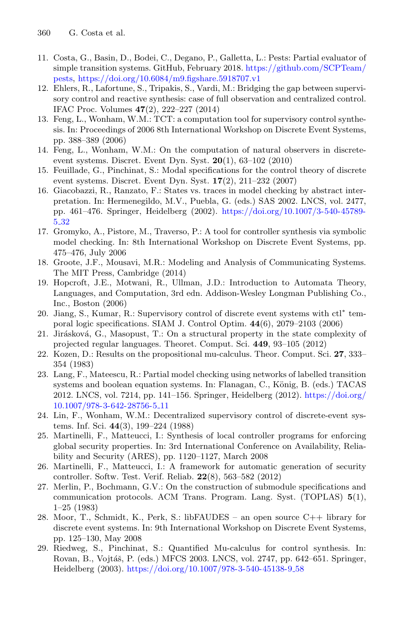- <span id="page-17-13"></span>11. Costa, G., Basin, D., Bodei, C., Degano, P., Galletta, L.: Pests: Partial evaluator of simple transition systems. GitHub, February 2018. [https://github.com/SCPTeam/](https://github.com/SCPTeam/pests) [pests,](https://github.com/SCPTeam/pests) <https://doi.org/10.6084/m9.figshare.5918707.v1>
- <span id="page-17-9"></span>12. Ehlers, R., Lafortune, S., Tripakis, S., Vardi, M.: Bridging the gap between supervisory control and reactive synthesis: case of full observation and centralized control. IFAC Proc. Volumes **47**(2), 222–227 (2014)
- <span id="page-17-4"></span>13. Feng, L., Wonham, W.M.: TCT: a computation tool for supervisory control synthesis. In: Proceedings of 2006 8th International Workshop on Discrete Event Systems, pp. 388–389 (2006)
- <span id="page-17-3"></span>14. Feng, L., Wonham, W.M.: On the computation of natural observers in discreteevent systems. Discret. Event Dyn. Syst. **20**(1), 63–102 (2010)
- <span id="page-17-11"></span>15. Feuillade, G., Pinchinat, S.: Modal specifications for the control theory of discrete event systems. Discret. Event Dyn. Syst. **17**(2), 211–232 (2007)
- <span id="page-17-14"></span>16. Giacobazzi, R., Ranzato, F.: States vs. traces in model checking by abstract interpretation. In: Hermenegildo, M.V., Puebla, G. (eds.) SAS 2002. LNCS, vol. 2477, pp. 461–476. Springer, Heidelberg (2002). [https://doi.org/10.1007/3-540-45789-](https://doi.org/10.1007/3-540-45789-5_32) 5 [32](https://doi.org/10.1007/3-540-45789-5_32)
- <span id="page-17-12"></span>17. Gromyko, A., Pistore, M., Traverso, P.: A tool for controller synthesis via symbolic model checking. In: 8th International Workshop on Discrete Event Systems, pp. 475–476, July 2006
- <span id="page-17-6"></span>18. Groote, J.F., Mousavi, M.R.: Modeling and Analysis of Communicating Systems. The MIT Press, Cambridge (2014)
- <span id="page-17-2"></span>19. Hopcroft, J.E., Motwani, R., Ullman, J.D.: Introduction to Automata Theory, Languages, and Computation, 3rd edn. Addison-Wesley Longman Publishing Co., Inc., Boston (2006)
- <span id="page-17-18"></span>20. Jiang, S., Kumar, R.: Supervisory control of discrete event systems with ctl<sup>∗</sup> temporal logic specifications. SIAM J. Control Optim. **44**(6), 2079–2103 (2006)
- <span id="page-17-8"></span>21. Jirásková, G., Masopust, T.: On a structural property in the state complexity of projected regular languages. Theoret. Comput. Sci. **449**, 93–105 (2012)
- <span id="page-17-1"></span>22. Kozen, D.: Results on the propositional mu-calculus. Theor. Comput. Sci. **27**, 333– 354 (1983)
- <span id="page-17-7"></span>23. Lang, F., Mateescu, R.: Partial model checking using networks of labelled transition systems and boolean equation systems. In: Flanagan, C., König, B. (eds.) TACAS 2012. LNCS, vol. 7214, pp. 141–156. Springer, Heidelberg (2012). [https://doi.org/](https://doi.org/10.1007/978-3-642-28756-5_11) [10.1007/978-3-642-28756-5](https://doi.org/10.1007/978-3-642-28756-5_11) 11
- <span id="page-17-15"></span>24. Lin, F., Wonham, W.M.: Decentralized supervisory control of discrete-event systems. Inf. Sci. **44**(3), 199–224 (1988)
- <span id="page-17-10"></span>25. Martinelli, F., Matteucci, I.: Synthesis of local controller programs for enforcing global security properties. In: 3rd International Conference on Availability, Reliability and Security (ARES), pp. 1120–1127, March 2008
- <span id="page-17-16"></span>26. Martinelli, F., Matteucci, I.: A framework for automatic generation of security controller. Softw. Test. Verif. Reliab. **22**(8), 563–582 (2012)
- <span id="page-17-0"></span>27. Merlin, P., Bochmann, G.V.: On the construction of submodule specifications and communication protocols. ACM Trans. Program. Lang. Syst. (TOPLAS) **5**(1), 1–25 (1983)
- <span id="page-17-5"></span>28. Moor, T., Schmidt, K., Perk, S.: libFAUDES – an open source C++ library for discrete event systems. In: 9th International Workshop on Discrete Event Systems, pp. 125–130, May 2008
- <span id="page-17-17"></span>29. Riedweg, S., Pinchinat, S.: Quantified Mu-calculus for control synthesis. In: Rovan, B., Vojtáš, P. (eds.) MFCS 2003. LNCS, vol. 2747, pp. 642–651. Springer, Heidelberg (2003). [https://doi.org/10.1007/978-3-540-45138-9](https://doi.org/10.1007/978-3-540-45138-9_58) 58